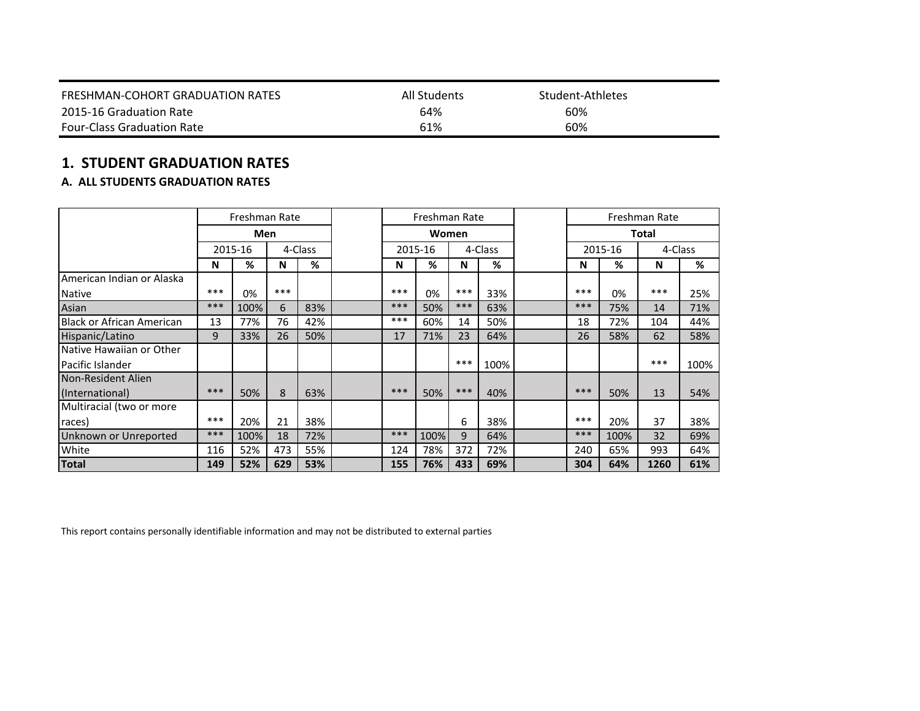| FRESHMAN-COHORT GRADUATION RATES  | All Students | Student-Athletes |
|-----------------------------------|--------------|------------------|
| 2015-16 Graduation Rate           | 64%          | 60%              |
| <b>Four-Class Graduation Rate</b> | 61%          | 60%              |

# **1. STUDENT GRADUATION RATES**

# **A. ALL STUDENTS GRADUATION RATES**

|                                  |       | Freshman Rate |         |     |       | Freshman Rate |         |      |     |              | Freshman Rate |         |
|----------------------------------|-------|---------------|---------|-----|-------|---------------|---------|------|-----|--------------|---------------|---------|
|                                  |       | Men           |         |     | Women |               |         |      |     | <b>Total</b> |               |         |
|                                  |       | 2015-16       | 4-Class |     |       | 2015-16       | 4-Class |      |     | 2015-16      |               | 4-Class |
|                                  | N     | %             | N       | %   | N     | %             | N       | %    | N   | %            | N             | %       |
| American Indian or Alaska        |       |               |         |     |       |               |         |      |     |              |               |         |
| <b>Native</b>                    | $***$ | 0%            | ***     |     | ***   | 0%            | ***     | 33%  | *** | 0%           | ***           | 25%     |
| Asian                            | ***   | 100%          | 6       | 83% | ***   | 50%           | ***     | 63%  | *** | 75%          | 14            | 71%     |
| <b>Black or African American</b> | 13    | 77%           | 76      | 42% | ***   | 60%           | 14      | 50%  | 18  | 72%          | 104           | 44%     |
| Hispanic/Latino                  | 9     | 33%           | 26      | 50% | 17    | 71%           | 23      | 64%  | 26  | 58%          | 62            | 58%     |
| Native Hawaiian or Other         |       |               |         |     |       |               |         |      |     |              |               |         |
| Pacific Islander                 |       |               |         |     |       |               | ***     | 100% |     |              | ***           | 100%    |
| Non-Resident Alien               |       |               |         |     |       |               |         |      |     |              |               |         |
| (International)                  | ***   | 50%           | 8       | 63% | ***   | 50%           | ***     | 40%  | *** | 50%          | 13            | 54%     |
| Multiracial (two or more         |       |               |         |     |       |               |         |      |     |              |               |         |
| races)                           | $***$ | 20%           | 21      | 38% |       |               | 6       | 38%  | *** | 20%          | 37            | 38%     |
| Unknown or Unreported            | ***   | 100%          | 18      | 72% | ***   | 100%          | 9       | 64%  | *** | 100%         | 32            | 69%     |
| White                            | 116   | 52%           | 473     | 55% | 124   | 78%           | 372     | 72%  | 240 | 65%          | 993           | 64%     |
| <b>Total</b>                     | 149   | 52%           | 629     | 53% | 155   | 76%           | 433     | 69%  | 304 | 64%          | 1260          | 61%     |

This report contains personally identifiable information and may not be distributed to external parties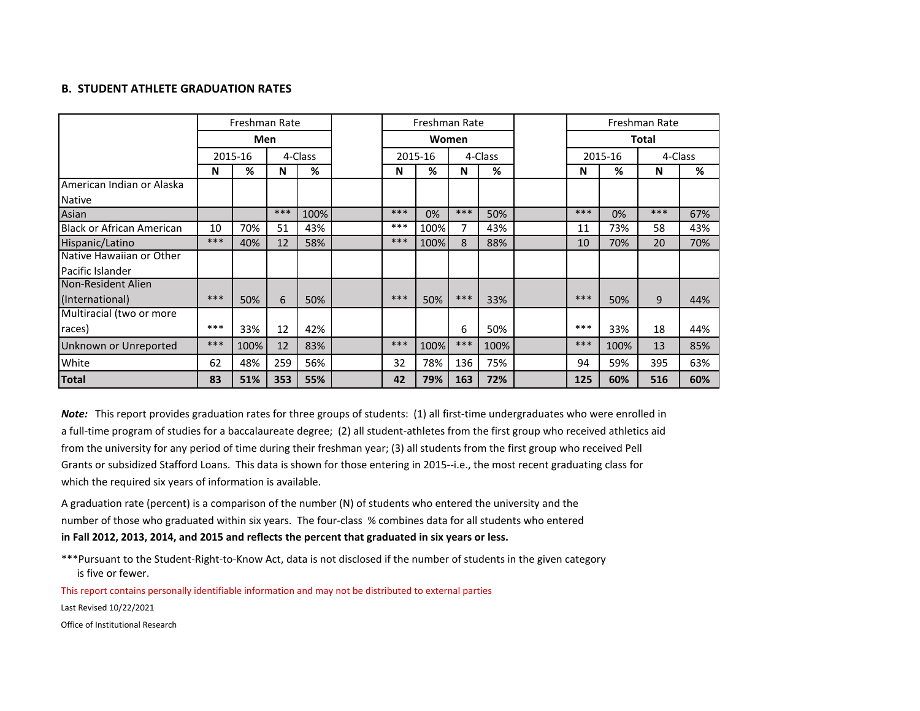#### **B. STUDENT ATHLETE GRADUATION RATES**

|                                  |         | Freshman Rate |         |      |  |       | Freshman Rate |         |      |         |              | Freshman Rate |     |
|----------------------------------|---------|---------------|---------|------|--|-------|---------------|---------|------|---------|--------------|---------------|-----|
|                                  |         | Men           |         |      |  | Women |               |         |      |         | <b>Total</b> |               |     |
|                                  | 2015-16 |               | 4-Class |      |  |       | 2015-16       | 4-Class |      | 2015-16 |              | 4-Class       |     |
|                                  | N       | %             | N       | %    |  | N     | %             | N       | %    | N       | %            | N             | %   |
| American Indian or Alaska        |         |               |         |      |  |       |               |         |      |         |              |               |     |
| <b>Native</b>                    |         |               |         |      |  |       |               |         |      |         |              |               |     |
| Asian                            |         |               | ***     | 100% |  | ***   | 0%            | ***     | 50%  | ***     | 0%           | $***$         | 67% |
| <b>Black or African American</b> | 10      | 70%           | 51      | 43%  |  | ***   | 100%          | 7       | 43%  | 11      | 73%          | 58            | 43% |
| Hispanic/Latino                  | ***     | 40%           | 12      | 58%  |  | ***   | 100%          | 8       | 88%  | 10      | 70%          | 20            | 70% |
| Native Hawaiian or Other         |         |               |         |      |  |       |               |         |      |         |              |               |     |
| Pacific Islander                 |         |               |         |      |  |       |               |         |      |         |              |               |     |
| Non-Resident Alien               |         |               |         |      |  |       |               |         |      |         |              |               |     |
| (International)                  | ***     | 50%           | 6       | 50%  |  | ***   | 50%           | $***$   | 33%  | ***     | 50%          | 9             | 44% |
| Multiracial (two or more         |         |               |         |      |  |       |               |         |      |         |              |               |     |
| races)                           | ***     | 33%           | 12      | 42%  |  |       |               | 6       | 50%  | ***     | 33%          | 18            | 44% |
| Unknown or Unreported            | ***     | 100%          | 12      | 83%  |  | ***   | 100%          | $***$   | 100% | ***     | 100%         | 13            | 85% |
| White                            | 62      | 48%           | 259     | 56%  |  | 32    | 78%           | 136     | 75%  | 94      | 59%          | 395           | 63% |
| <b>Total</b>                     | 83      | 51%           | 353     | 55%  |  | 42    | 79%           | 163     | 72%  | 125     | 60%          | 516           | 60% |

*Note:* This report provides graduation rates for three groups of students: (1) all first-time undergraduates who were enrolled in a full-time program of studies for a baccalaureate degree; (2) all student-athletes from the first group who received athletics aid from the university for any period of time during their freshman year; (3) all students from the first group who received Pell Grants or subsidized Stafford Loans. This data is shown for those entering in 2015--i.e., the most recent graduating class for which the required six years of information is available.

A graduation rate (percent) is a comparison of the number (N) of students who entered the university and the number of those who graduated within six years. The four-class % combines data for all students who entered **in Fall 2012, 2013, 2014, and 2015 and reflects the percent that graduated in six years or less.**

\*\*\*Pursuant to the Student-Right-to-Know Act, data is not disclosed if the number of students in the given category is five or fewer.

This report contains personally identifiable information and may not be distributed to external parties

Last Revised 10/22/2021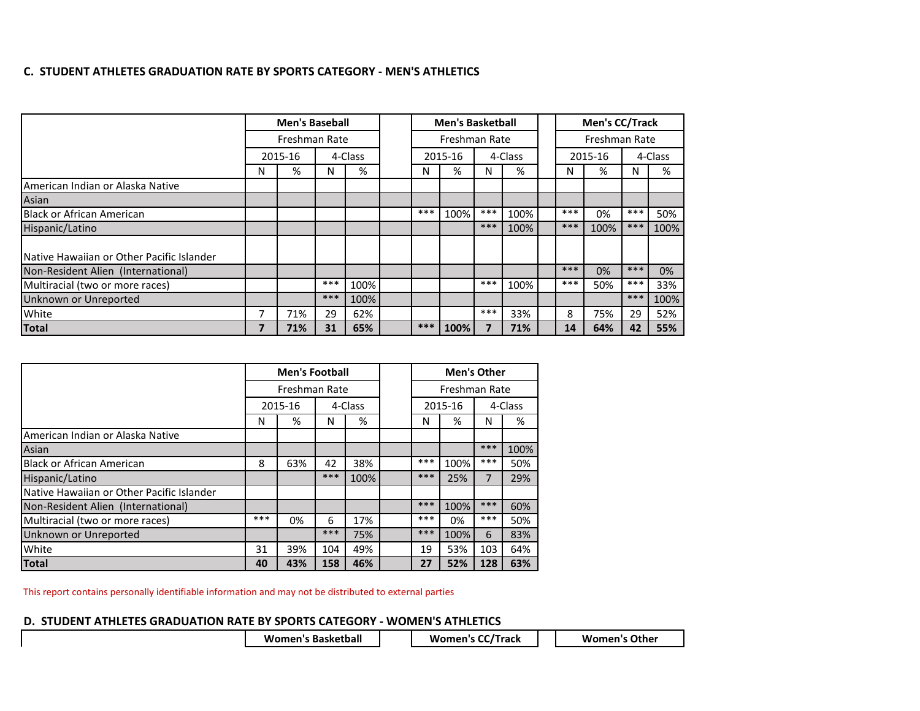## **C. STUDENT ATHLETES GRADUATION RATE BY SPORTS CATEGORY - MEN'S ATHLETICS**

|                                             |   | <b>Men's Baseball</b> |       |         |  | <b>Men's Basketball</b> |         |       |         |  |               | Men's CC/Track |         |      |
|---------------------------------------------|---|-----------------------|-------|---------|--|-------------------------|---------|-------|---------|--|---------------|----------------|---------|------|
|                                             |   | Freshman Rate         |       |         |  | Freshman Rate           |         |       |         |  | Freshman Rate |                |         |      |
|                                             |   | 2015-16               |       | 4-Class |  |                         | 2015-16 |       | 4-Class |  |               | 2015-16        | 4-Class |      |
|                                             | N | %                     | N     | %       |  | N                       | %       | N     | %       |  | Ν             | %              | N       | %    |
| American Indian or Alaska Native            |   |                       |       |         |  |                         |         |       |         |  |               |                |         |      |
| Asian                                       |   |                       |       |         |  |                         |         |       |         |  |               |                |         |      |
| <b>Black or African American</b>            |   |                       |       |         |  | ***                     | 100%    | $***$ | 100%    |  | $***$         | 0%             | $***$   | 50%  |
| Hispanic/Latino                             |   |                       |       |         |  |                         |         | ***   | 100%    |  | ***           | 100%           | ***     | 100% |
|                                             |   |                       |       |         |  |                         |         |       |         |  |               |                |         |      |
| l Native Hawaiian or Other Pacific Islander |   |                       |       |         |  |                         |         |       |         |  |               |                |         |      |
| Non-Resident Alien (International)          |   |                       |       |         |  |                         |         |       |         |  | ***           | 0%             | ***     | 0%   |
| Multiracial (two or more races)             |   |                       | $***$ | 100%    |  |                         |         | $***$ | 100%    |  | ***           | 50%            | $***$   | 33%  |
| Unknown or Unreported                       |   |                       | ***   | 100%    |  |                         |         |       |         |  |               |                | ***     | 100% |
| White                                       |   | 71%                   | 29    | 62%     |  |                         |         | ***   | 33%     |  | 8             | 75%            | 29      | 52%  |
| <b>Total</b>                                |   | 71%                   | 31    | 65%     |  | $***$                   | 100%    |       | 71%     |  | 14            | 64%            | 42      | 55%  |

|                                           | <b>Men's Football</b> |               | <b>Men's Other</b> |         |         |      |               |         |
|-------------------------------------------|-----------------------|---------------|--------------------|---------|---------|------|---------------|---------|
|                                           |                       | Freshman Rate |                    |         |         |      | Freshman Rate |         |
|                                           |                       | 2015-16       |                    | 4-Class | 2015-16 |      |               | 4-Class |
|                                           | N                     | %             | N                  | %       | N       | %    | N             | %       |
| American Indian or Alaska Native          |                       |               |                    |         |         |      |               |         |
| Asian                                     |                       |               |                    |         |         |      | ***           | 100%    |
| <b>Black or African American</b>          | 8                     | 63%           | 42                 | 38%     | ***     | 100% | ***           | 50%     |
| Hispanic/Latino                           |                       |               | ***                | 100%    | ***     | 25%  | 7             | 29%     |
| Native Hawaiian or Other Pacific Islander |                       |               |                    |         |         |      |               |         |
| Non-Resident Alien (International)        |                       |               |                    |         | ***     | 100% | ***           | 60%     |
| Multiracial (two or more races)           | ***                   | 0%            | 6                  | 17%     | ***     | 0%   | ***           | 50%     |
| Unknown or Unreported                     |                       |               | ***                | 75%     | ***     | 100% | 6             | 83%     |
| White                                     | 31                    | 39%           | 104                | 49%     | 19      | 53%  | 103           | 64%     |
| <b>Total</b>                              | 40                    | 43%           | 158                | 46%     | 27      | 52%  | 128           | 63%     |

This report contains personally identifiable information and may not be distributed to external parties

## **D. STUDENT ATHLETES GRADUATION RATE BY SPORTS CATEGORY - WOMEN'S ATHLETICS**

| <b>Women's Basketball</b> | <b>Women's CC/Track</b> | <b>Women's Other</b> |
|---------------------------|-------------------------|----------------------|
|                           |                         |                      |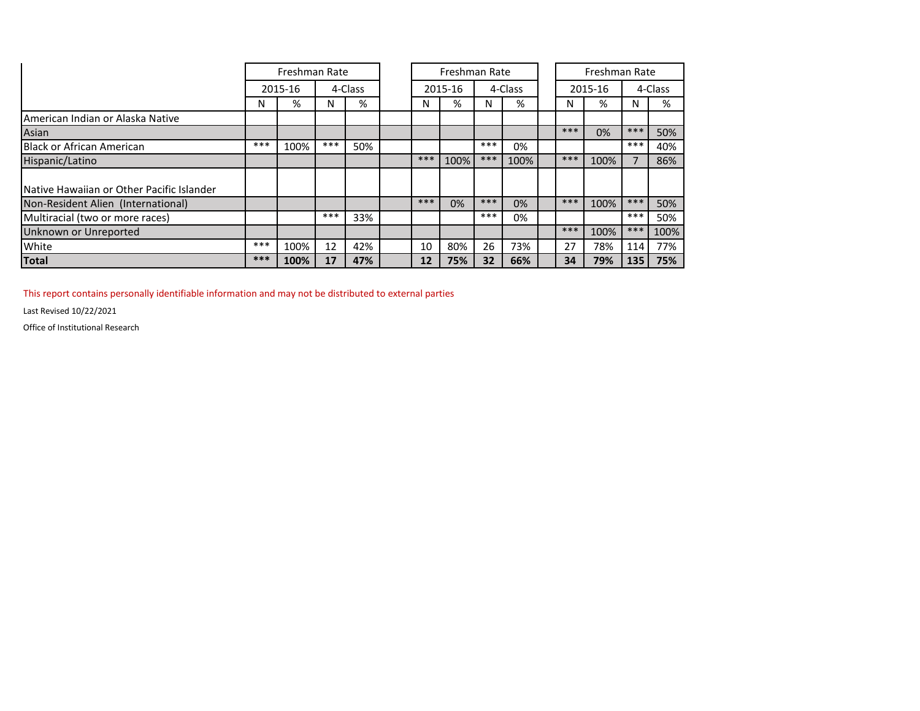|                                                   |       | Freshman Rate      |       |     |         |     | Freshman Rate |       |      | Freshman Rate |         |       |      |
|---------------------------------------------------|-------|--------------------|-------|-----|---------|-----|---------------|-------|------|---------------|---------|-------|------|
|                                                   |       | 4-Class<br>2015-16 |       |     | 2015-16 |     | 4-Class       |       |      | 2015-16       | 4-Class |       |      |
|                                                   | N     | %                  | N     | %   |         | N   | %             | N     | %    | N             | %       | N     | %    |
| American Indian or Alaska Native                  |       |                    |       |     |         |     |               |       |      |               |         |       |      |
| Asian                                             |       |                    |       |     |         |     |               |       |      | ***           | 0%      | ***   | 50%  |
| <b>Black or African American</b>                  | $***$ | 100%               | ***   | 50% |         |     |               | ***   | 0%   |               |         | ***   | 40%  |
| Hispanic/Latino                                   |       |                    |       |     |         | *** | 100%          | ***   | 100% | ***           | 100%    |       | 86%  |
|                                                   |       |                    |       |     |         |     |               |       |      |               |         |       |      |
| <b>INative Hawaiian or Other Pacific Islander</b> |       |                    |       |     |         |     |               |       |      |               |         |       |      |
| Non-Resident Alien (International)                |       |                    |       |     |         | *** | 0%            | $***$ | 0%   | ***           | 100%    | ***   | 50%  |
| Multiracial (two or more races)                   |       |                    | $***$ | 33% |         |     |               | ***   | 0%   |               |         | $***$ | 50%  |
| Unknown or Unreported                             |       |                    |       |     |         |     |               |       |      | ***           | 100%    | $***$ | 100% |
| <b>White</b>                                      | ***   | 100%               | 12    | 42% |         | 10  | 80%           | 26    | 73%  | 27            | 78%     | 114   | 77%  |
| <b>Total</b>                                      | ***   | 100%               | 17    | 47% |         | 12  | 75%           | 32    | 66%  | 34            | 79%     | 135   | 75%  |

This report contains personally identifiable information and may not be distributed to external parties

Last Revised 10/22/2021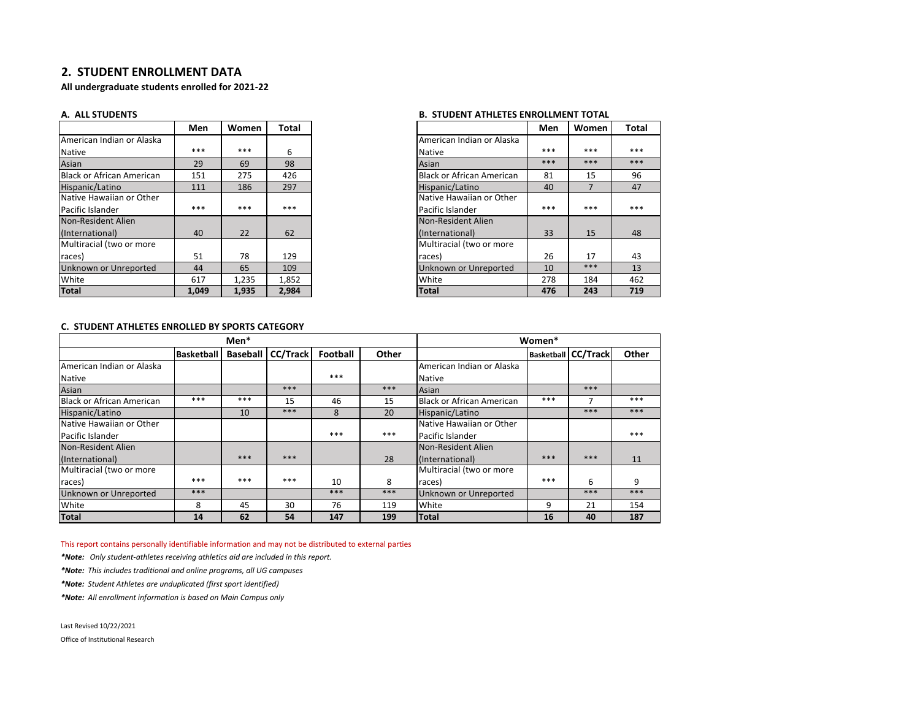#### **2. STUDENT ENROLLMENT DATA**

**All undergraduate students enrolled for 2021-22**

|                                  | Men   | Women | Total |
|----------------------------------|-------|-------|-------|
| American Indian or Alaska        |       |       |       |
| <b>Native</b>                    | ***   | ***   | 6     |
| Asian                            | 29    | 69    | 98    |
| <b>Black or African American</b> | 151   | 275   | 426   |
| Hispanic/Latino                  | 111   | 186   | 297   |
| Native Hawaiian or Other         |       |       |       |
| Pacific Islander                 | ***   | ***   | ***   |
| Non-Resident Alien               |       |       |       |
| (International)                  | 40    | 22    | 62    |
| Multiracial (two or more         |       |       |       |
| races)                           | 51    | 78    | 129   |
| Unknown or Unreported            | 44    | 65    | 109   |
| White                            | 617   | 1.235 | 1,852 |
| <b>Total</b>                     | 1.049 | 1,935 | 2,984 |

#### **A. ALL STUDENTS B. STUDENT ATHLETES ENROLLMENT TOTAL**

| Men   | Women | Total |                                  | Men | Women          |  |
|-------|-------|-------|----------------------------------|-----|----------------|--|
|       |       |       | American Indian or Alaska        |     |                |  |
| ***   | ***   | 6     | <b>Native</b>                    | *** | ***            |  |
| 29    | 69    | 98    | Asian                            | *** | ***            |  |
| 151   | 275   | 426   | <b>Black or African American</b> | 81  | 15             |  |
| 111   | 186   | 297   | Hispanic/Latino                  | 40  | $\overline{7}$ |  |
|       |       |       | Native Hawaiian or Other         |     |                |  |
| ***   | ***   | ***   | Pacific Islander                 | *** | ***            |  |
|       |       |       | Non-Resident Alien               |     |                |  |
| 40    | 22    | 62    | (International)                  | 33  | 15             |  |
|       |       |       | Multiracial (two or more         |     |                |  |
| 51    | 78    | 129   | races)                           | 26  | 17             |  |
| 44    | 65    | 109   | Unknown or Unreported            | 10  | ***            |  |
| 617   | 1,235 | 1,852 | White                            | 278 | 184            |  |
| 1.049 | 1,935 | 2,984 | <b>Total</b>                     | 476 | 243            |  |

#### **C. STUDENT ATHLETES ENROLLED BY SPORTS CATEGORY**

|                                  |                   | Men* |                              |          |       |                                  | Women* |                                |       |
|----------------------------------|-------------------|------|------------------------------|----------|-------|----------------------------------|--------|--------------------------------|-------|
|                                  | <b>Basketball</b> |      | <b>Baseball   CC/Track  </b> | Football | Other |                                  |        | <b>Basketball   CC/Track  </b> | Other |
| American Indian or Alaska        |                   |      |                              |          |       | American Indian or Alaska        |        |                                |       |
| <b>Native</b>                    |                   |      |                              | ***      |       | <b>Native</b>                    |        |                                |       |
| Asian                            |                   |      | ***                          |          | ***   | Asian                            |        | ***                            |       |
| <b>Black or African American</b> | ***               | ***  | 15                           | 46       | 15    | <b>Black or African American</b> | ***    | ⇁                              | ***   |
| Hispanic/Latino                  |                   | 10   | ***                          | 8        | 20    | Hispanic/Latino                  |        | ***                            | ***   |
| Native Hawaiian or Other         |                   |      |                              |          |       | Native Hawaiian or Other         |        |                                |       |
| Pacific Islander                 |                   |      |                              | ***      | ***   | <b>Pacific Islander</b>          |        |                                | ***   |
| Non-Resident Alien               |                   |      |                              |          |       | Non-Resident Alien               |        |                                |       |
| (International)                  |                   | ***  | ***                          |          | 28    | (International)                  | ***    | ***                            | 11    |
| Multiracial (two or more         |                   |      |                              |          |       | Multiracial (two or more         |        |                                |       |
| races)                           | ***               | ***  | ***                          | 10       | 8     | races)                           | ***    | 6                              | 9     |
| Unknown or Unreported            | ***               |      |                              | ***      | ***   | Unknown or Unreported            |        | ***                            | ***   |
| White                            | 8                 | 45   | 30                           | 76       | 119   | White                            | 9      | 21                             | 154   |
| <b>Total</b>                     | 14                | 62   | 54                           | 147      | 199   | <b>Total</b>                     | 16     | 40                             | 187   |

This report contains personally identifiable information and may not be distributed to external parties

*\*Note: Only student-athletes receiving athletics aid are included in this report.*

*\*Note: This includes traditional and online programs, all UG campuses*

*\*Note: Student Athletes are unduplicated (first sport identified)*

*\*Note: All enrollment information is based on Main Campus only*

Last Revised 10/22/2021